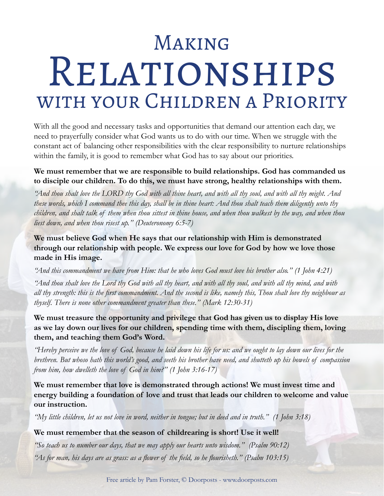# Making Relationships with your Children a Priority

With all the good and necessary tasks and opportunities that demand our attention each day, we need to prayerfully consider what God wants us to do with our time. When we struggle with the constant act of balancing other responsibilities with the clear responsibility to nurture relationships within the family, it is good to remember what God has to say about our priorities.

#### **We must remember that we are responsible to build relationships. God has commanded us to disciple our children. To do this, we must have strong, healthy relationships with them.**

*"And thou shalt love the LORD thy God with all thine heart, and with all thy soul, and with all thy might. And these words, which I command thee this day, shall be in thine heart: And thou shalt teach them diligently unto thy children, and shalt talk of them when thou sittest in thine house, and when thou walkest by the way, and when thou liest down, and when thou risest up." (Deuteronomy 6:5-7)*

**We must believe God when He says that our relationship with Him is demonstrated through our relationship with people. We express our love for God by how we love those made in His image.**

*"And this commandment we have from Him: that he who loves God must love his brother also." (1 John 4:21)*

*"And thou shalt love the Lord thy God with all thy heart, and with all thy soul, and with all thy mind, and with all thy strength: this is the first commandment. And the second is like, namely this, Thou shalt love thy neighbour as thyself. There is none other commandment greater than these." (Mark 12:30-31)*

**We must treasure the opportunity and privilege that God has given us to display His love as we lay down our lives for our children, spending time with them, discipling them, loving them, and teaching them God's Word.**

*"Hereby perceive we the love of God, because he laid down his life for us: and we ought to lay down our lives for the brethren. But whoso hath this world's good, and seeth his brother have need, and shutteth up his bowels of compassion from him, how dwelleth the love of God in him?" (1 John 3:16-17)*

**We must remember that love is demonstrated through actions! We must invest time and energy building a foundation of love and trust that leads our children to welcome and value our instruction.**

*"My little children, let us not love in word, neither in tongue; but in deed and in truth." (1 John 3:18)*

**We must remember that the season of childrearing is short! Use it well!**

*"So teach us to number our days, that we may apply our hearts unto wisdom." (Psalm 90:12) "As for man, his days are as grass: as a flower of the field, so he flourisheth." (Psalm 103:15)*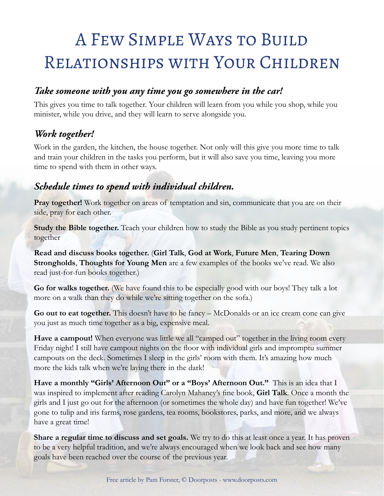# A Few Simple Ways to Build Relationships with Your Children

#### *Take someone with you any time you go somewhere in the car!*

This gives you time to talk together. Your children will learn from you while you shop, while you minister, while you drive, and they will learn to serve alongside you.

#### *Work together!*

Work in the garden, the kitchen, the house together. Not only will this give you more time to talk and train your children in the tasks you perform, but it will also save you time, leaving you more time to spend with them in other ways.

#### *Schedule times to spend with individual children.*

**Pray together!** Work together on areas of temptation and sin, communicate that you are on their side, pray for each other.

**Study the Bible together.** Teach your children how to study the Bible as you study pertinent topics together

**Read and discuss books together.** (**Girl Talk**, **God at Work**, **Future Men**, **Tearing Down Strongholds**, **Thoughts for Young Men** are a few examples of the books we've read. We also read just-for-fun books together.)

**Go for walks together.** (We have found this to be especially good with our boys! They talk a lot more on a walk than they do while we're sitting together on the sofa.)

**Go out to eat together.** This doesn't have to be fancy – McDonalds or an ice cream cone can give you just as much time together as a big, expensive meal.

Have a campout! When everyone was little we all "camped out" together in the living room every Friday night! I still have campout nights on the floor with individual girls and impromptu summer campouts on the deck. Sometimes I sleep in the girls' room with them. It's amazing how much more the kids talk when we're laying there in the dark!

**Have a monthly "Girls' Afternoon Out" or a "Boys' Afternoon Out."** This is an idea that I was inspired to implement after reading Carolyn Mahaney's fine book, **Girl Talk**. Once a month the girls and I just go out for the afternoon (or sometimes the whole day) and have fun together! We've gone to tulip and iris farms, rose gardens, tea rooms, bookstores, parks, and more, and we always have a great time!

**Share a regular time to discuss and set goals.** We try to do this at least once a year. It has proven to be a very helpful tradition, and we're always encouraged when we look back and see how many goals have been reached over the course of the previous year.